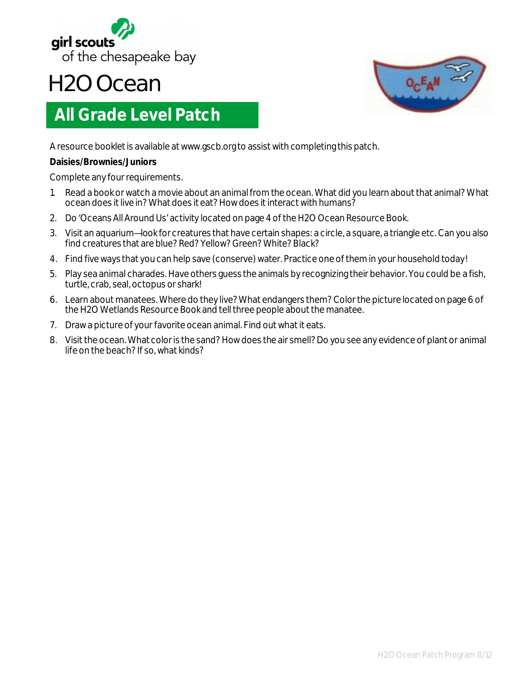

## **H2O Ocean**

## **All Grade Level Patch**



A resource booklet is available at www.gscb.org to assist with completing this patch.

## **Daisies/Brownies/Juniors**

Complete any four requirements.

- 1. Read a book or watch a movie about an animal from the ocean. What did you learn about that animal? What ocean does it live in? What does it eat? How does it interact with humans?
- 2. Do 'Oceans All Around Us' activity located on page 4 of the H2O Ocean Resource Book.
- 3. Visit an aquarium—look for creatures that have certain shapes: a circle, a square, a triangle etc. Can you also find creatures that are blue? Red? Yellow? Green? White? Black?
- 4. Find five ways that you can help save (conserve) water. Practice one of them in your household today!
- 5. Play sea animal charades. Have others guess the animals by recognizing their behavior. You could be a fish, turtle, crab, seal, octopus or shark!
- 6. Learn about manatees. Where do they live? What endangers them? Color the picture located on page 6 of the H2O Wetlands Resource Book and tell three people about the manatee.
- 7. Draw a picture of your favorite ocean animal. Find out what it eats.
- 8. Visit the ocean. What color is the sand? How does the air smell? Do you see any evidence of plant or animal life on the beach? If so, what kinds?